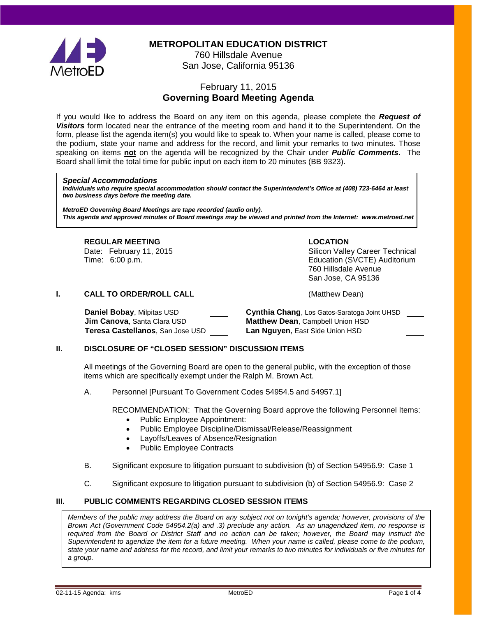

**METROPOLITAN EDUCATION DISTRICT**

760 Hillsdale Avenue San Jose, California 95136

# February 11, 2015 **Governing Board Meeting Agenda**

If you would like to address the Board on any item on this agenda, please complete the *Request of Visitors* form located near the entrance of the meeting room and hand it to the Superintendent. On the form, please list the agenda item(s) you would like to speak to. When your name is called, please come to the podium, state your name and address for the record, and limit your remarks to two minutes. Those speaking on items **not** on the agenda will be recognized by the Chair under *Public Comments*. The Board shall limit the total time for public input on each item to 20 minutes (BB 9323).

#### *Special Accommodations*

*Individuals who require special accommodation should contact the Superintendent's Office at (408) 723-6464 at least two business days before the meeting date.*

*MetroED Governing Board Meetings are tape recorded (audio only). This agenda and approved minutes of Board meetings may be viewed and printed from the Internet: www.metroed.net*

### **REGULAR MEETING LOCATION**

Date: February 11, 2015 Career Technical Silicon Valley Career Technical Time: 6:00 p.m. Education (SVCTE) Auditorium 760 Hillsdale Avenue San Jose, CA 95136

## **I. CALL TO ORDER/ROLL CALL CALL CALL** (Matthew Dean)

**Daniel Bobay**, Milpitas USD **Cynthia Chang**, Los Gatos-Saratoga Joint UHSD **Jim Canova**, Santa Clara USD **Matthew Dean**, Campbell Union HSD

**Teresa Castellanos**, San Jose USD **Lan Nguyen**, East Side Union HSD

## **II. DISCLOSURE OF "CLOSED SESSION" DISCUSSION ITEMS**

All meetings of the Governing Board are open to the general public, with the exception of those items which are specifically exempt under the Ralph M. Brown Act.

A. Personnel [Pursuant To Government Codes 54954.5 and 54957.1]

RECOMMENDATION: That the Governing Board approve the following Personnel Items:

- Public Employee Appointment:
- Public Employee Discipline/Dismissal/Release/Reassignment
- Layoffs/Leaves of Absence/Resignation
- Public Employee Contracts
- B. Significant exposure to litigation pursuant to subdivision (b) of Section 54956.9: Case 1
- C. Significant exposure to litigation pursuant to subdivision (b) of Section 54956.9: Case 2

### **III. PUBLIC COMMENTS REGARDING CLOSED SESSION ITEMS**

*Members of the public may address the Board on any subject not on tonight's agenda; however, provisions of the Brown Act (Government Code 54954.2(a) and .3) preclude any action. As an unagendized item, no response is required from the Board or District Staff and no action can be taken; however, the Board may instruct the Superintendent to agendize the item for a future meeting. When your name is called, please come to the podium,*  state your name and address for the record, and limit your remarks to two minutes for individuals or five minutes for *a group.*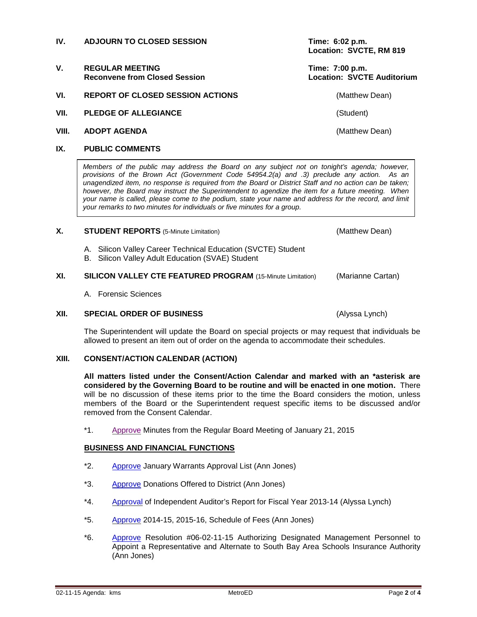## **IV. ADJOURN TO CLOSED SESSION Time: 6:02 p.m.**

- V. REGULAR MEETING<br>Reconvene from Closed Session **Time: 7:00 p.m.**<br>Location: SVCTE Auditorium **Reconvene from Closed Session**
- **VI. REPORT OF CLOSED SESSION ACTIONS CONSTRUCTER (Matthew Dean)**
- **VII. PLEDGE OF ALLEGIANCE** (Student)
- **VIII. ADOPT AGENDA** (Matthew Dean)

## **IX. PUBLIC COMMENTS**

*Members of the public may address the Board on any subject not on tonight's agenda; however, provisions of the Brown Act (Government Code 54954.2(a) and .3) preclude any action. As an unagendized item, no response is required from the Board or District Staff and no action can be taken; however, the Board may instruct the Superintendent to agendize the item for a future meeting. When your name is called, please come to the podium, state your name and address for the record, and limit your remarks to two minutes for individuals or five minutes for a group.*

### **X. STUDENT REPORTS** (5-Minute Limitation) (Matthew Dean)

- A. Silicon Valley Career Technical Education (SVCTE) Student
- B. Silicon Valley Adult Education (SVAE) Student

## **XI. SILICON VALLEY CTE FEATURED PROGRAM** (15-Minute Limitation) (Marianne Cartan)

A. Forensic Sciences

## **XII. SPECIAL ORDER OF BUSINESS** (Alyssa Lynch)

The Superintendent will update the Board on special projects or may request that individuals be allowed to present an item out of order on the agenda to accommodate their schedules.

### **XIII. CONSENT/ACTION CALENDAR (ACTION)**

**All matters listed under the Consent/Action Calendar and marked with an \*asterisk are considered by the Governing Board to be routine and will be enacted in one motion.** There will be no discussion of these items prior to the time the Board considers the motion, unless members of the Board or the Superintendent request specific items to be discussed and/or removed from the Consent Calendar.

\*1. [Approve](http://fbsd.metroed.net/ksmith/Board_Agenda/02-11-15BoardAgenda/Item-01_01-21-15BoardMinutes.pdf) Minutes from the Regular Board Meeting of January 21, 2015

### **BUSINESS AND FINANCIAL FUNCTIONS**

- \*2. [Approve](http://fbsd.metroed.net/ksmith/Board_Agenda/02-11-15BoardAgenda/Item-02.pdf) January Warrants Approval List (Ann Jones)
- \*3. [Approve](http://fbsd.metroed.net/ksmith/Board_Agenda/02-11-15BoardAgenda/Item-03.pdf) Donations Offered to District (Ann Jones)
- \*4. [Approval](http://fbsd.metroed.net/ksmith/Board_Agenda/02-11-15BoardAgenda/Item-04.pdf) of Independent Auditor's Report for Fiscal Year 2013-14 (Alyssa Lynch)
- \*5. [Approve](http://fbsd.metroed.net/ksmith/Board_Agenda/02-11-15BoardAgenda/Item-05.pdf) 2014-15, 2015-16, Schedule of Fees (Ann Jones)
- \*6. [Approve](http://fbsd.metroed.net/ksmith/Board_Agenda/02-11-15BoardAgenda/Item-06.pdf) Resolution #06-02-11-15 Authorizing Designated Management Personnel to Appoint a Representative and Alternate to South Bay Area Schools Insurance Authority (Ann Jones)

**Location: SVCTE, RM 819**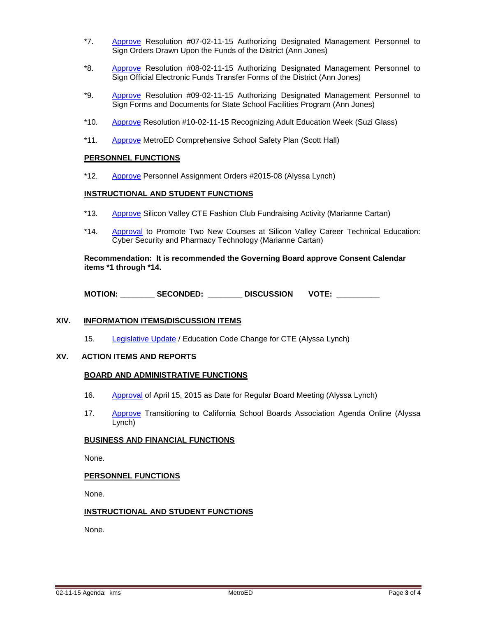- \*7. [Approve](http://fbsd.metroed.net/ksmith/Board_Agenda/02-11-15BoardAgenda/Item-07.pdf) Resolution #07-02-11-15 Authorizing Designated Management Personnel to Sign Orders Drawn Upon the Funds of the District (Ann Jones)
- \*8. [Approve](http://fbsd.metroed.net/ksmith/Board_Agenda/02-11-15BoardAgenda/Item-08.pdf) Resolution #08-02-11-15 Authorizing Designated Management Personnel to Sign Official Electronic Funds Transfer Forms of the District (Ann Jones)
- \*9. [Approve](http://fbsd.metroed.net/ksmith/Board_Agenda/02-11-15BoardAgenda/Item-09.pdf) Resolution #09-02-11-15 Authorizing Designated Management Personnel to Sign Forms and Documents for State School Facilities Program (Ann Jones)
- \*10. [Approve](http://fbsd.metroed.net/ksmith/Board_Agenda/02-11-15BoardAgenda/Item-10.pdf) Resolution #10-02-11-15 Recognizing Adult Education Week (Suzi Glass)
- \*11. [Approve](http://fbsd.metroed.net/ksmith/Board_Agenda/02-11-15BoardAgenda/Item-11.pdf) MetroED Comprehensive School Safety Plan (Scott Hall)

#### **PERSONNEL FUNCTIONS**

\*12. [Approve](http://fbsd.metroed.net/ksmith/Board_Agenda/02-11-15BoardAgenda/Item-12.pdf) Personnel Assignment Orders #2015-08 (Alyssa Lynch)

#### **INSTRUCTIONAL AND STUDENT FUNCTIONS**

- \*13. [Approve](http://fbsd.metroed.net/ksmith/Board_Agenda/02-11-15BoardAgenda/Item-13.pdf) Silicon Valley CTE Fashion Club Fundraising Activity (Marianne Cartan)
- \*14. [Approval](http://fbsd.metroed.net/ksmith/Board_Agenda/02-11-15BoardAgenda/Item-14.pdf) to Promote Two New Courses at Silicon Valley Career Technical Education: Cyber Security and Pharmacy Technology (Marianne Cartan)

**Recommendation: It is recommended the Governing Board approve Consent Calendar items \*1 through \*14.**

**MOTION: \_\_\_\_\_\_\_\_ SECONDED: \_\_\_\_\_\_\_\_ DISCUSSION VOTE: \_\_\_\_\_\_\_\_\_\_**

## **XIV. INFORMATION ITEMS/DISCUSSION ITEMS**

15. [Legislative Update](http://fbsd.metroed.net/ksmith/Board_Agenda/02-11-15BoardAgenda/Item-15.pdf) / Education Code Change for CTE (Alyssa Lynch)

## **XV. ACTION ITEMS AND REPORTS**

#### **BOARD AND ADMINISTRATIVE FUNCTIONS**

- 16. [Approval](http://fbsd.metroed.net/ksmith/Board_Agenda/02-11-15BoardAgenda/Item-16.pdf) of April 15, 2015 as Date for Regular Board Meeting (Alyssa Lynch)
- 17. [Approve](http://fbsd.metroed.net/ksmith/Board_Agenda/02-11-15BoardAgenda/Item-17.pdf) Transitioning to California School Boards Association Agenda Online (Alyssa Lynch)

#### **BUSINESS AND FINANCIAL FUNCTIONS**

None.

#### **PERSONNEL FUNCTIONS**

None.

## **INSTRUCTIONAL AND STUDENT FUNCTIONS**

None.